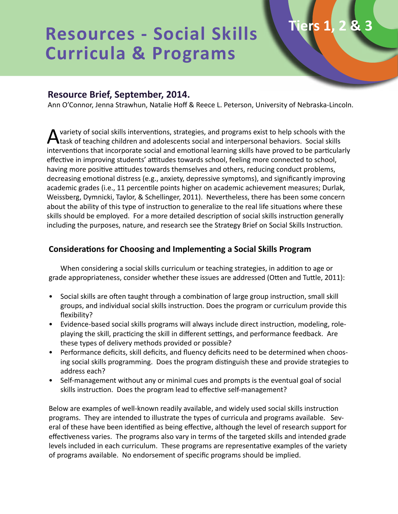# **Resources - Social Skills Curricula & Programs**

# **Resource Brief, September, 2014.**

Ann O'Connor, Jenna Strawhun, Natalie Hoff & Reece L. Peterson, University of Nebraska-Lincoln.

**Tiers 1, 2 & 3**

variety of social skills interventions, strategies, and programs exist to help schools with the task of teaching children and adolescents social and interpersonal behaviors. Social skills interventions that incorporate social and emotional learning skills have proved to be particularly effective in improving students' attitudes towards school, feeling more connected to school, having more positive attitudes towards themselves and others, reducing conduct problems, decreasing emotional distress (e.g., anxiety, depressive symptoms), and significantly improving academic grades (i.e., 11 percentile points higher on academic achievement measures; Durlak, Weissberg, Dymnicki, Taylor, & Schellinger, 2011). Nevertheless, there has been some concern about the ability of this type of instruction to generalize to the real life situations where these skills should be employed. For a more detailed description of social skills instruction generally including the purposes, nature, and research see the Strategy Brief on Social Skills Instruction.

#### **Considerations for Choosing and Implementing a Social Skills Program**

When considering a social skills curriculum or teaching strategies, in addition to age or grade appropriateness, consider whether these issues are addressed (Otten and Tuttle, 2011):

- Social skills are often taught through a combination of large group instruction, small skill groups, and individual social skills instruction. Does the program or curriculum provide this flexibility?
- Evidence-based social skills programs will always include direct instruction, modeling, roleplaying the skill, practicing the skill in different settings, and performance feedback. Are these types of delivery methods provided or possible?
- Performance deficits, skill deficits, and fluency deficits need to be determined when choosing social skills programming. Does the program distinguish these and provide strategies to address each?
- Self-management without any or minimal cues and prompts is the eventual goal of social skills instruction. Does the program lead to effective self-management?

Below are examples of well-known readily available, and widely used social skills instruction programs. They are intended to illustrate the types of curricula and programs available. Several of these have been identified as being effective, although the level of research support for effectiveness varies. The programs also vary in terms of the targeted skills and intended grade levels included in each curriculum. These programs are representative examples of the variety of programs available. No endorsement of specific programs should be implied.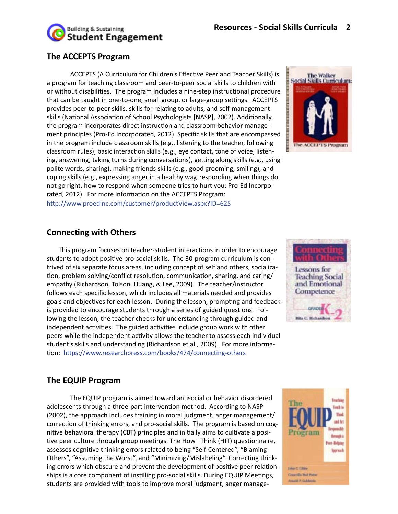

# **The ACCEPTS Program**

ACCEPTS (A Curriculum for Children's Effective Peer and Teacher Skills) is a program for teaching classroom and peer-to-peer social skills to children with or without disabilities. The program includes a nine-step instructional procedure that can be taught in one-to-one, small group, or large-group settings. ACCEPTS provides peer-to-peer skills, skills for relating to adults, and self-management skills (National Association of School Psychologists [NASP], 2002). Additionally, the program incorporates direct instruction and classroom behavior management principles (Pro-Ed Incorporated, 2012). Specific skills that are encompassed in the program include classroom skills (e.g., listening to the teacher, following classroom rules), basic interaction skills (e.g., eye contact, tone of voice, listening, answering, taking turns during conversations), getting along skills (e.g., using polite words, sharing), making friends skills (e.g., good grooming, smiling), and coping skills (e.g., expressing anger in a healthy way, responding when things do not go right, how to respond when someone tries to hurt you; Pro-Ed Incorporated, 2012). For more information on the ACCEPTS Program: http://www.proedinc.com/customer/productView.aspx?ID=625



## **Connecting with Others**

This program focuses on teacher-student interactions in order to encourage students to adopt positive pro-social skills. The 30-program curriculum is contrived of six separate focus areas, including concept of self and others, socialization, problem solving/conflict resolution, communication, sharing, and caring/ empathy (Richardson, Tolson, Huang, & Lee, 2009). The teacher/instructor follows each specific lesson, which includes all materials needed and provides goals and objectives for each lesson. During the lesson, prompting and feedback is provided to encourage students through a series of guided questions. Following the lesson, the teacher checks for understanding through guided and independent activities. The guided activities include group work with other peers while the independent activity allows the teacher to assess each individual student's skills and understanding (Richardson et al., 2009). For more information: https://www.researchpress.com/books/474/connecting-others



### **The EQUIP Program**

The EQUIP program is aimed toward antisocial or behavior disordered adolescents through a three-part intervention method. According to NASP (2002), the approach includes training in moral judgment, anger management/ correction of thinking errors, and pro-social skills. The program is based on cognitive behavioral therapy (CBT) principles and initially aims to cultivate a positive peer culture through group meetings. The How I Think (HIT) questionnaire, assesses cognitive thinking errors related to being "Self-Centered", "Blaming Others", "Assuming the Worst", and "Minimizing/Mislabeling". Correcting thinking errors which obscure and prevent the development of positive peer relationships is a core component of instilling pro-social skills. During EQUIP Meetings, students are provided with tools to improve moral judgment, anger manage-

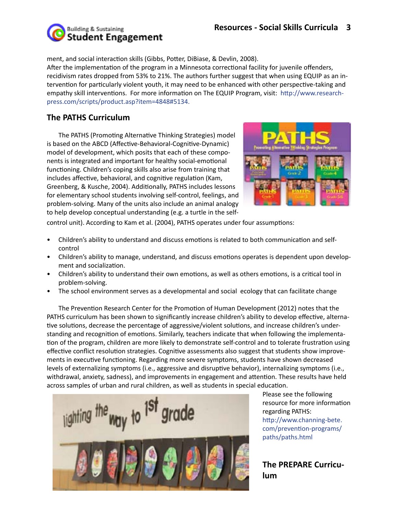

ment, and social interaction skills (Gibbs, Potter, DiBiase, & Devlin, 2008).

After the implementation of the program in a Minnesota correctional facility for juvenile offenders, recidivism rates dropped from 53% to 21%. The authors further suggest that when using EQUIP as an intervention for particularly violent youth, it may need to be enhanced with other perspective-taking and empathy skill interventions. For more information on The EQUIP Program, visit: http://www.researchpress.com/scripts/product.asp?item=4848#5134.

# **The PATHS Curriculum**

The PATHS (Promoting Alternative Thinking Strategies) model is based on the ABCD (Affective-Behavioral-Cognitive-Dynamic) model of development, which posits that each of these components is integrated and important for healthy social-emotional functioning. Children's coping skills also arise from training that includes affective, behavioral, and cognitive regulation (Kam, Greenberg, & Kusche, 2004). Additionally, PATHS includes lessons for elementary school students involving self-control, feelings, and problem-solving. Many of the units also include an animal analogy to help develop conceptual understanding (e.g. a turtle in the self-



control unit). According to Kam et al. (2004), PATHS operates under four assumptions:

- Children's ability to understand and discuss emotions is related to both communication and selfcontrol
- Children's ability to manage, understand, and discuss emotions operates is dependent upon development and socialization.
- Children's ability to understand their own emotions, as well as others emotions, is a critical tool in problem-solving.
- The school environment serves as a developmental and social ecology that can facilitate change

The Prevention Research Center for the Promotion of Human Development (2012) notes that the PATHS curriculum has been shown to significantly increase children's ability to develop effective, alternative solutions, decrease the percentage of aggressive/violent solutions, and increase children's understanding and recognition of emotions. Similarly, teachers indicate that when following the implementation of the program, children are more likely to demonstrate self-control and to tolerate frustration using effective conflict resolution strategies. Cognitive assessments also suggest that students show improvements in executive functioning. Regarding more severe symptoms, students have shown decreased levels of externalizing symptoms (i.e., aggressive and disruptive behavior), internalizing symptoms (i.e., withdrawal, anxiety, sadness), and improvements in engagement and attention. These results have held across samples of urban and rural children, as well as students in special education.



Please see the following resource for more information regarding PATHS: http://www.channing-bete. com/prevention-programs/ paths/paths.html

## **The PREPARE Curriculum**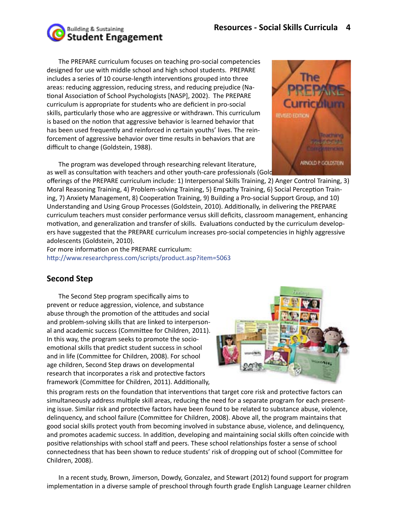

The PREPARE curriculum focuses on teaching pro-social competencies designed for use with middle school and high school students. PREPARE includes a series of 10 course-length interventions grouped into three areas: reducing aggression, reducing stress, and reducing prejudice (National Association of School Psychologists [NASP], 2002). The PREPARE curriculum is appropriate for students who are deficient in pro-social skills, particularly those who are aggressive or withdrawn. This curriculum is based on the notion that aggressive behavior is learned behavior that has been used frequently and reinforced in certain youths' lives. The reinforcement of aggressive behavior over time results in behaviors that are difficult to change (Goldstein, 1988).

as well as consultation with teachers and other youth-care professionals (Gold The program was developed through researching relevant literature,

offerings of the PREPARE curriculum include: 1) Interpersonal Skills Training, 2) Anger Control Training, 3) Moral Reasoning Training, 4) Problem-solving Training, 5) Empathy Training, 6) Social Perception Training, 7) Anxiety Management, 8) Cooperation Training, 9) Building a Pro-social Support Group, and 10) Understanding and Using Group Processes (Goldstein, 2010). Additionally, in delivering the PREPARE curriculum teachers must consider performance versus skill deficits, classroom management, enhancing motivation, and generalization and transfer of skills. Evaluations conducted by the curriculum developers have suggested that the PREPARE curriculum increases pro-social competencies in highly aggressive adolescents (Goldstein, 2010).

For more information on the PREPARE curriculum: http://www.researchpress.com/scripts/product.asp?item=5063

## **Second Step**

The Second Step program specifically aims to prevent or reduce aggression, violence, and substance abuse through the promotion of the attitudes and social and problem-solving skills that are linked to interpersonal and academic success (Committee for Children, 2011). In this way, the program seeks to promote the socioemotional skills that predict student success in school and in life (Committee for Children, 2008). For school age children, Second Step draws on developmental research that incorporates a risk and protective factors framework (Committee for Children, 2011). Additionally,



this program rests on the foundation that interventions that target core risk and protective factors can simultaneously address multiple skill areas, reducing the need for a separate program for each presenting issue. Similar risk and protective factors have been found to be related to substance abuse, violence, delinquency, and school failure (Committee for Children, 2008). Above all, the program maintains that good social skills protect youth from becoming involved in substance abuse, violence, and delinquency, and promotes academic success. In addition, developing and maintaining social skills often coincide with positive relationships with school staff and peers. These school relationships foster a sense of school connectedness that has been shown to reduce students' risk of dropping out of school (Committee for Children, 2008).

In a recent study, Brown, Jimerson, Dowdy, Gonzalez, and Stewart (2012) found support for program implementation in a diverse sample of preschool through fourth grade English Language Learner children

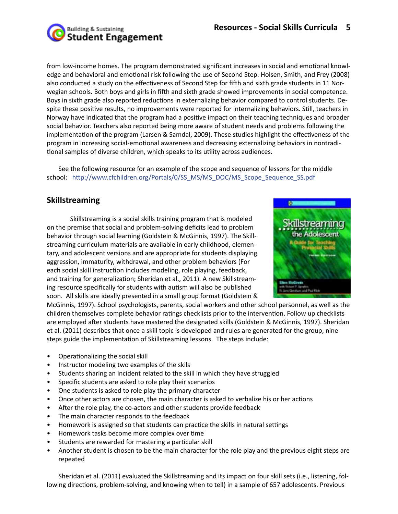

from low-income homes. The program demonstrated significant increases in social and emotional knowledge and behavioral and emotional risk following the use of Second Step. Holsen, Smith, and Frey (2008) also conducted a study on the effectiveness of Second Step for fifth and sixth grade students in 11 Norwegian schools. Both boys and girls in fifth and sixth grade showed improvements in social competence. Boys in sixth grade also reported reductions in externalizing behavior compared to control students. Despite these positive results, no improvements were reported for internalizing behaviors. Still, teachers in Norway have indicated that the program had a positive impact on their teaching techniques and broader social behavior. Teachers also reported being more aware of student needs and problems following the implementation of the program (Larsen & Samdal, 2009). These studies highlight the effectiveness of the program in increasing social-emotional awareness and decreasing externalizing behaviors in nontraditional samples of diverse children, which speaks to its utility across audiences.

See the following resource for an example of the scope and sequence of lessons for the middle school: http://www.cfchildren.org/Portals/0/SS\_MS/MS\_DOC/MS\_Scope\_Sequence\_SS.pdf

## **Skillstreaming**

Skillstreaming is a social skills training program that is modeled on the premise that social and problem-solving deficits lead to problem behavior through social learning (Goldstein & McGinnis, 1997). The Skillstreaming curriculum materials are available in early childhood, elementary, and adolescent versions and are appropriate for students displaying aggression, immaturity, withdrawal, and other problem behaviors (For each social skill instruction includes modeling, role playing, feedback, and training for generalization; Sheridan et al., 2011). A new Skillstreaming resource specifically for students with autism will also be published soon. All skills are ideally presented in a small group format (Goldstein &



McGinnis, 1997). School psychologists, parents, social workers and other school personnel, as well as the children themselves complete behavior ratings checklists prior to the intervention. Follow up checklists are employed after students have mastered the designated skills (Goldstein & McGinnis, 1997). Sheridan et al. (2011) describes that once a skill topic is developed and rules are generated for the group, nine steps guide the implementation of Skillstreaming lessons. The steps include:

- Operationalizing the social skill
- Instructor modeling two examples of the skils
- Students sharing an incident related to the skill in which they have struggled
- Specific students are asked to role play their scenarios
- One students is asked to role play the primary character
- Once other actors are chosen, the main character is asked to verbalize his or her actions
- After the role play, the co-actors and other students provide feedback
- The main character responds to the feedback
- Homework is assigned so that students can practice the skills in natural settings
- Homework tasks become more complex over time
- Students are rewarded for mastering a particular skill
- Another student is chosen to be the main character for the role play and the previous eight steps are repeated

Sheridan et al. (2011) evaluated the Skillstreaming and its impact on four skill sets (i.e., listening, following directions, problem-solving, and knowing when to tell) in a sample of 657 adolescents. Previous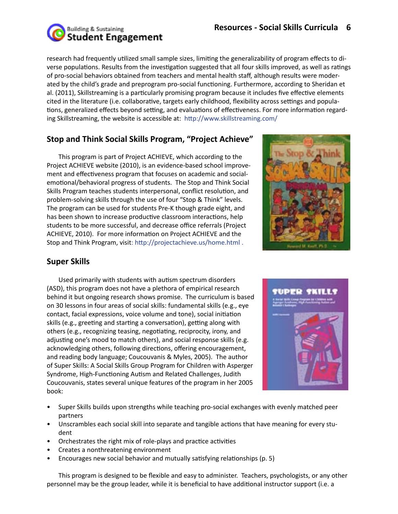

research had frequently utilized small sample sizes, limiting the generalizability of program effects to diverse populations. Results from the investigation suggested that all four skills improved, as well as ratings of pro-social behaviors obtained from teachers and mental health staff, although results were moderated by the child's grade and preprogram pro-social functioning. Furthermore, according to Sheridan et al. (2011), Skillstreaming is a particularly promising program because it includes five effective elements cited in the literature (i.e. collaborative, targets early childhood, flexibility across settings and populations, generalized effects beyond setting, and evaluations of effectiveness. For more information regarding Skillstreaming, the website is accessible at: http://www.skillstreaming.com/

# **Stop and Think Social Skills Program, "Project Achieve"**

This program is part of Project ACHIEVE, which according to the Project ACHIEVE website (2010), is an evidence-based school improvement and effectiveness program that focuses on academic and socialemotional/behavioral progress of students. The Stop and Think Social Skills Program teaches students interpersonal, conflict resolution, and problem-solving skills through the use of four "Stop & Think" levels. The program can be used for students Pre-K though grade eight, and has been shown to increase productive classroom interactions, help students to be more successful, and decrease office referrals (Project ACHIEVE, 2010). For more information on Project ACHIEVE and the Stop and Think Program, visit: http://projectachieve.us/home.html .



# **Super Skills**

Used primarily with students with autism spectrum disorders (ASD), this program does not have a plethora of empirical research behind it but ongoing research shows promise. The curriculum is based on 30 lessons in four areas of social skills: fundamental skills (e.g., eye contact, facial expressions, voice volume and tone), social initiation skills (e.g., greeting and starting a conversation), getting along with others (e.g., recognizing teasing, negotiating, reciprocity, irony, and adjusting one's mood to match others), and social response skills (e.g. acknowledging others, following directions, offering encouragement, and reading body language; Coucouvanis & Myles, 2005). The author of Super Skills: A Social Skills Group Program for Children with Asperger Syndrome, High-Functioning Autism and Related Challenges, Judith Coucouvanis, states several unique features of the program in her 2005 book:



- Super Skills builds upon strengths while teaching pro-social exchanges with evenly matched peer partners
- Unscrambles each social skill into separate and tangible actions that have meaning for every student
- Orchestrates the right mix of role-plays and practice activities
- Creates a nonthreatening environment
- Encourages new social behavior and mutually satisfying relationships (p. 5)

This program is designed to be flexible and easy to administer. Teachers, psychologists, or any other personnel may be the group leader, while it is beneficial to have additional instructor support (i.e. a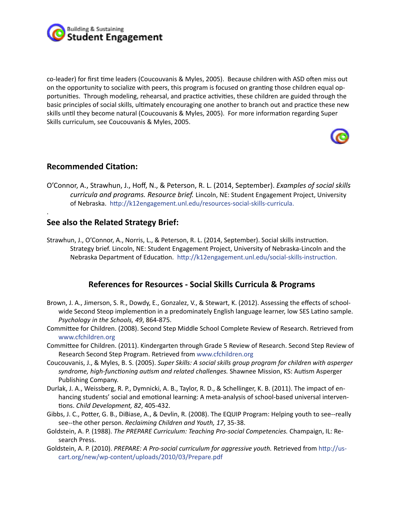

co-leader) for first time leaders (Coucouvanis & Myles, 2005). Because children with ASD often miss out on the opportunity to socialize with peers, this program is focused on granting those children equal opportunities. Through modeling, rehearsal, and practice activities, these children are guided through the basic principles of social skills, ultimately encouraging one another to branch out and practice these new skills until they become natural (Coucouvanis & Myles, 2005). For more information regarding Super Skills curriculum, see Coucouvanis & Myles, 2005.



#### **Recommended Citation:**

.

O'Connor, A., Strawhun, J., Hoff, N., & Peterson, R. L. (2014, September). *Examples of social skills curricula and programs. Resource brief.* Lincoln, NE: Student Engagement Project, University of Nebraska. http://k12engagement.unl.edu/resources-social-skills-curricula.

### **See also the Related Strategy Brief:**

Strawhun, J., O'Connor, A., Norris, L., & Peterson, R. L. (2014, September). Social skills instruction. Strategy brief. Lincoln, NE: Student Engagement Project, University of Nebraska-Lincoln and the Nebraska Department of Education. http://k12engagement.unl.edu/social-skills-instruction.

### **References for Resources - Social Skills Curricula & Programs**

- Brown, J. A., Jimerson, S. R., Dowdy, E., Gonzalez, V., & Stewart, K. (2012). Assessing the effects of schoolwide Second Steop implemention in a predominately English language learner, low SES Latino sample. *Psychology in the Schools, 49*, 864-875.
- Committee for Children. (2008). Second Step Middle School Complete Review of Research. Retrieved from www.cfchildren.org
- Committee for Children. (2011). Kindergarten through Grade 5 Review of Research. Second Step Review of Research Second Step Program. Retrieved from www.cfchildren.org
- Coucouvanis, J., & Myles, B. S. (2005). *Super Skills: A social skills group program for children with asperger syndrome, high-functioning autism and related challenges.* Shawnee Mission, KS: Autism Asperger Publishing Company.
- Durlak, J. A., Weissberg, R. P., Dymnicki, A. B., Taylor, R. D., & Schellinger, K. B. (2011). The impact of enhancing students' social and emotional learning: A meta-analysis of school-based universal interventions. *Child Development, 82*, 405-432.
- Gibbs, J. C., Potter, G. B., DiBiase, A., & Devlin, R. (2008). The EQUIP Program: Helping youth to see--really see--the other person. *Reclaiming Children and Youth, 17*, 35-38.
- Goldstein, A. P. (1988). *The PREPARE Curriculum: Teaching Pro-social Competencies.* Champaign, IL: Research Press.
- Goldstein, A. P. (2010). *PREPARE: A Pro-social curriculum for aggressive youth.* Retrieved from http://uscart.org/new/wp-content/uploads/2010/03/Prepare.pdf